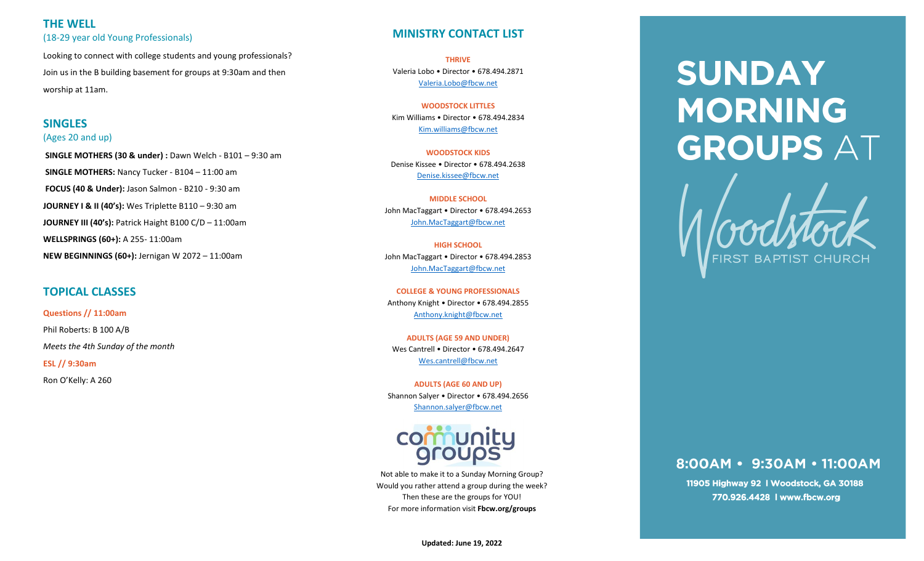# **THE WELL**  (18-29 year old Young Professionals)

Looking to connect with college students and young professionals? Join us in the B building basement for groups at 9:30am and then worship at 11am.

# **SINGLES**

### (Ages 20 and up)

**SINGLE MOTHERS (30 & under) :** Dawn Welch - B101 – 9:30 am **SINGLE MOTHERS:** Nancy Tucker - B104 – 11:00 am **FOCUS (40 & Under):** Jason Salmon - B210 - 9:30 am **JOURNEY I & II (40's):** Wes Triplette B110 – 9:30 am **JOURNEY III (40's):** Patrick Haight B100 C/D – 11:00am **WELLSPRINGS (60+):** A 255- 11:00am **NEW BEGINNINGS (60+):** Jernigan W 2072 – 11:00am

# **TOPICAL CLASSES**

**Questions // 11:00am**  Phil Roberts: B 100 A/B *Meets the 4th Sunday of the month* **ESL // 9:30am** Ron O'Kelly: A 260

# **MINISTRY CONTACT LIST**

**THRIVE** Valeria Lobo • Director • 678.494.2871 [Valeria.Lobo@fbcw.net](mailto:Valeria.Lobo@fbcw.net)

**WOODSTOCK LITTLES**  Kim Williams • Director • 678.494.2834 [Kim.williams@fbcw.net](mailto:Kim.williams@fbcw.net)

**WOODSTOCK KIDS** Denise Kissee • Director • 678.494.2638 [Denise.kissee@fbcw.net](mailto:Denise.kissee@fbcw.net)

**MIDDLE SCHOOL** John MacTaggart • Director • 678.494.2653 [John.MacTaggart@fbcw.net](mailto:Jacob.spoon@fbcw.net)

**HIGH SCHOOL** John MacTaggart • Director • 678.494.2853 [John.MacTaggart@fbcw.net](mailto:John.MacTaggart@fbcw.net)

**COLLEGE & YOUNG PROFESSIONALS**  Anthony Knight • Director • 678.494.2855 [Anthony.knight@fbcw.net](mailto:Anthony.knight@fbcw.net)

**ADULTS (AGE 59 AND UNDER)** Wes Cantrell • Director • 678.494.2647 [Wes.cantrell@fbcw.net](mailto:Wes.cantrell@fbcw.net)

**ADULTS (AGE 60 AND UP)** Shannon Salyer • Director • 678.494.2656 [Shannon.salyer@fbcw.net](mailto:Shannon.salyer@fbcw.net)



Not able to make it to a Sunday Morning Group? Would you rather attend a group during the week? Then these are the groups for YOU! For more information visit **Fbcw.org/groups**

# **SUNDAY MORNING GROUPS AT**



# 8:00AM · 9:30AM · 11:00AM

11905 Highway 92 | Woodstock, GA 30188 770.926.4428 | www.fbcw.org

**Updated: June 19, 2022**